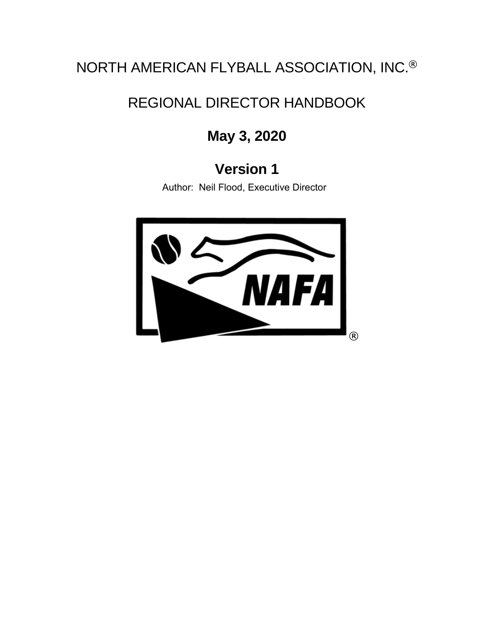# NORTH AMERICAN FLYBALL ASSOCIATION, INC.®

# REGIONAL DIRECTOR HANDBOOK

# **May 3, 2020**

# **Version 1**

Author: Neil Flood, Executive Director

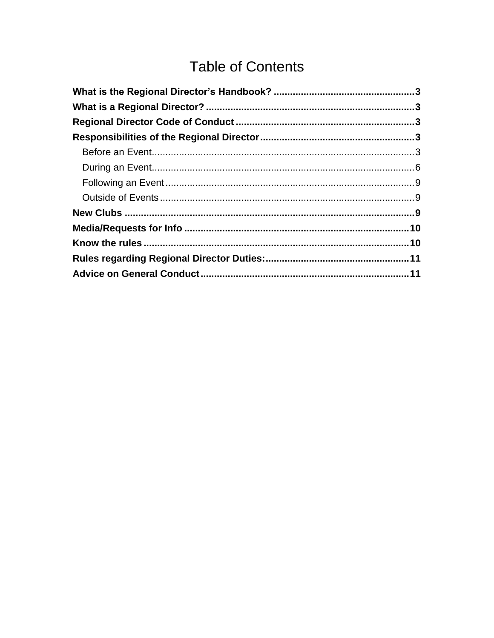# **Table of Contents**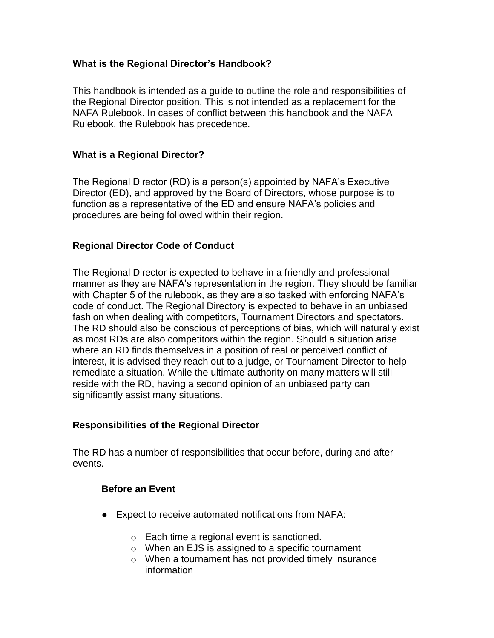# <span id="page-2-0"></span>**What is the Regional Director's Handbook?**

This handbook is intended as a guide to outline the role and responsibilities of the Regional Director position. This is not intended as a replacement for the NAFA Rulebook. In cases of conflict between this handbook and the NAFA Rulebook, the Rulebook has precedence.

# <span id="page-2-1"></span>**What is a Regional Director?**

The Regional Director (RD) is a person(s) appointed by NAFA's Executive Director (ED), and approved by the Board of Directors, whose purpose is to function as a representative of the ED and ensure NAFA's policies and procedures are being followed within their region.

# <span id="page-2-2"></span>**Regional Director Code of Conduct**

The Regional Director is expected to behave in a friendly and professional manner as they are NAFA's representation in the region. They should be familiar with Chapter 5 of the rulebook, as they are also tasked with enforcing NAFA's code of conduct. The Regional Directory is expected to behave in an unbiased fashion when dealing with competitors, Tournament Directors and spectators. The RD should also be conscious of perceptions of bias, which will naturally exist as most RDs are also competitors within the region. Should a situation arise where an RD finds themselves in a position of real or perceived conflict of interest, it is advised they reach out to a judge, or Tournament Director to help remediate a situation. While the ultimate authority on many matters will still reside with the RD, having a second opinion of an unbiased party can significantly assist many situations.

### <span id="page-2-3"></span>**Responsibilities of the Regional Director**

<span id="page-2-4"></span>The RD has a number of responsibilities that occur before, during and after events.

### **Before an Event**

- Expect to receive automated notifications from NAFA:
	- o Each time a regional event is sanctioned.
	- o When an EJS is assigned to a specific tournament
	- o When a tournament has not provided timely insurance information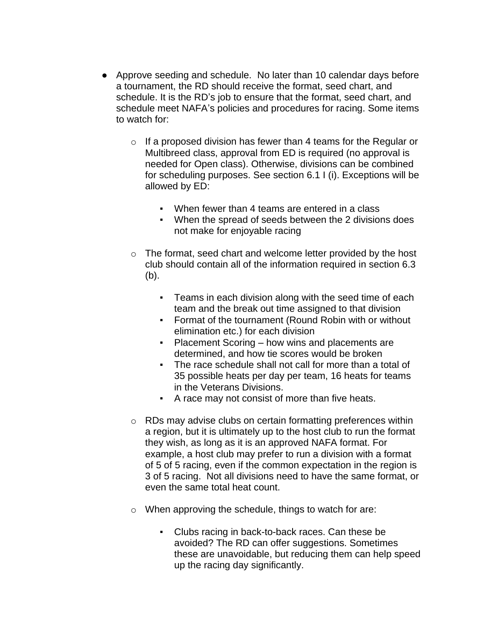- Approve seeding and schedule. No later than 10 calendar days before a tournament, the RD should receive the format, seed chart, and schedule. It is the RD's job to ensure that the format, seed chart, and schedule meet NAFA's policies and procedures for racing. Some items to watch for:
	- $\circ$  If a proposed division has fewer than 4 teams for the Regular or Multibreed class, approval from ED is required (no approval is needed for Open class). Otherwise, divisions can be combined for scheduling purposes. See section 6.1 I (i). Exceptions will be allowed by ED:
		- When fewer than 4 teams are entered in a class
		- When the spread of seeds between the 2 divisions does not make for enjoyable racing
	- o The format, seed chart and welcome letter provided by the host club should contain all of the information required in section 6.3 (b).
		- Teams in each division along with the seed time of each team and the break out time assigned to that division
		- Format of the tournament (Round Robin with or without elimination etc.) for each division
		- **Placement Scoring how wins and placements are** determined, and how tie scores would be broken
		- The race schedule shall not call for more than a total of 35 possible heats per day per team, 16 heats for teams in the Veterans Divisions.
		- A race may not consist of more than five heats.
	- o RDs may advise clubs on certain formatting preferences within a region, but it is ultimately up to the host club to run the format they wish, as long as it is an approved NAFA format. For example, a host club may prefer to run a division with a format of 5 of 5 racing, even if the common expectation in the region is 3 of 5 racing. Not all divisions need to have the same format, or even the same total heat count.
	- o When approving the schedule, things to watch for are:
		- Clubs racing in back-to-back races. Can these be avoided? The RD can offer suggestions. Sometimes these are unavoidable, but reducing them can help speed up the racing day significantly.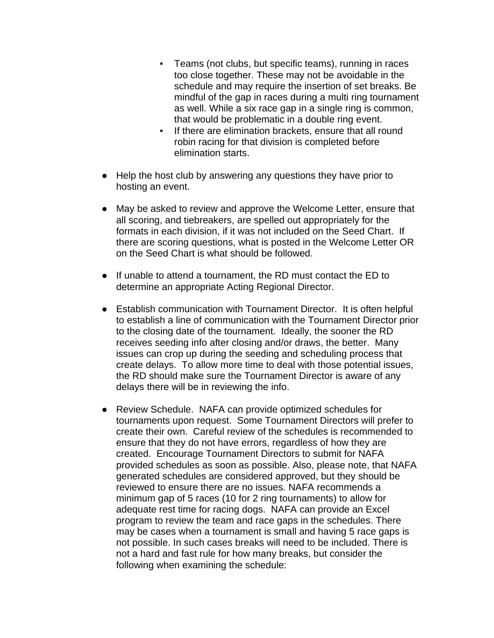- Teams (not clubs, but specific teams), running in races too close together. These may not be avoidable in the schedule and may require the insertion of set breaks. Be mindful of the gap in races during a multi ring tournament as well. While a six race gap in a single ring is common, that would be problematic in a double ring event.
- If there are elimination brackets, ensure that all round robin racing for that division is completed before elimination starts.
- Help the host club by answering any questions they have prior to hosting an event.
- May be asked to review and approve the Welcome Letter, ensure that all scoring, and tiebreakers, are spelled out appropriately for the formats in each division, if it was not included on the Seed Chart. If there are scoring questions, what is posted in the Welcome Letter OR on the Seed Chart is what should be followed.
- If unable to attend a tournament, the RD must contact the ED to determine an appropriate Acting Regional Director.
- Establish communication with Tournament Director. It is often helpful to establish a line of communication with the Tournament Director prior to the closing date of the tournament. Ideally, the sooner the RD receives seeding info after closing and/or draws, the better. Many issues can crop up during the seeding and scheduling process that create delays. To allow more time to deal with those potential issues, the RD should make sure the Tournament Director is aware of any delays there will be in reviewing the info.
- Review Schedule. NAFA can provide optimized schedules for tournaments upon request. Some Tournament Directors will prefer to create their own. Careful review of the schedules is recommended to ensure that they do not have errors, regardless of how they are created. Encourage Tournament Directors to submit for NAFA provided schedules as soon as possible. Also, please note, that NAFA generated schedules are considered approved, but they should be reviewed to ensure there are no issues. NAFA recommends a minimum gap of 5 races (10 for 2 ring tournaments) to allow for adequate rest time for racing dogs. NAFA can provide an Excel program to review the team and race gaps in the schedules. There may be cases when a tournament is small and having 5 race gaps is not possible. In such cases breaks will need to be included. There is not a hard and fast rule for how many breaks, but consider the following when examining the schedule: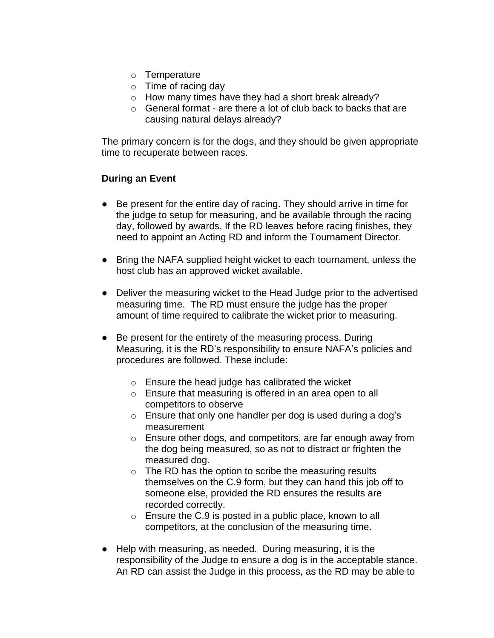- o Temperature
- $\circ$  Time of racing day
- o How many times have they had a short break already?
- o General format are there a lot of club back to backs that are causing natural delays already?

The primary concern is for the dogs, and they should be given appropriate time to recuperate between races.

### <span id="page-5-0"></span>**During an Event**

- Be present for the entire day of racing. They should arrive in time for the judge to setup for measuring, and be available through the racing day, followed by awards. If the RD leaves before racing finishes, they need to appoint an Acting RD and inform the Tournament Director.
- Bring the NAFA supplied height wicket to each tournament, unless the host club has an approved wicket available.
- Deliver the measuring wicket to the Head Judge prior to the advertised measuring time. The RD must ensure the judge has the proper amount of time required to calibrate the wicket prior to measuring.
- Be present for the entirety of the measuring process. During Measuring, it is the RD's responsibility to ensure NAFA's policies and procedures are followed. These include:
	- o Ensure the head judge has calibrated the wicket
	- o Ensure that measuring is offered in an area open to all competitors to observe
	- o Ensure that only one handler per dog is used during a dog's measurement
	- o Ensure other dogs, and competitors, are far enough away from the dog being measured, so as not to distract or frighten the measured dog.
	- o The RD has the option to scribe the measuring results themselves on the C.9 form, but they can hand this job off to someone else, provided the RD ensures the results are recorded correctly.
	- $\circ$  Ensure the C.9 is posted in a public place, known to all competitors, at the conclusion of the measuring time.
- Help with measuring, as needed. During measuring, it is the responsibility of the Judge to ensure a dog is in the acceptable stance. An RD can assist the Judge in this process, as the RD may be able to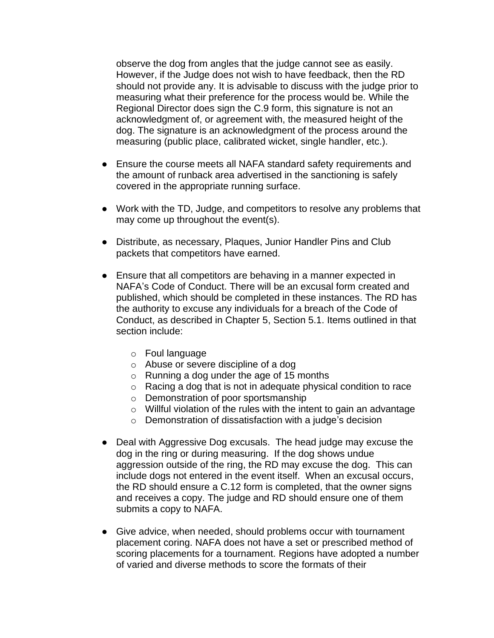observe the dog from angles that the judge cannot see as easily. However, if the Judge does not wish to have feedback, then the RD should not provide any. It is advisable to discuss with the judge prior to measuring what their preference for the process would be. While the Regional Director does sign the C.9 form, this signature is not an acknowledgment of, or agreement with, the measured height of the dog. The signature is an acknowledgment of the process around the measuring (public place, calibrated wicket, single handler, etc.).

- Ensure the course meets all NAFA standard safety requirements and the amount of runback area advertised in the sanctioning is safely covered in the appropriate running surface.
- Work with the TD, Judge, and competitors to resolve any problems that may come up throughout the event(s).
- Distribute, as necessary, Plaques, Junior Handler Pins and Club packets that competitors have earned.
- Ensure that all competitors are behaving in a manner expected in NAFA's Code of Conduct. There will be an excusal form created and published, which should be completed in these instances. The RD has the authority to excuse any individuals for a breach of the Code of Conduct, as described in Chapter 5, Section 5.1. Items outlined in that section include:
	- o Foul language
	- o Abuse or severe discipline of a dog
	- o Running a dog under the age of 15 months
	- o Racing a dog that is not in adequate physical condition to race
	- o Demonstration of poor sportsmanship
	- $\circ$  Willful violation of the rules with the intent to gain an advantage
	- o Demonstration of dissatisfaction with a judge's decision
- Deal with Aggressive Dog excusals. The head judge may excuse the dog in the ring or during measuring. If the dog shows undue aggression outside of the ring, the RD may excuse the dog. This can include dogs not entered in the event itself. When an excusal occurs, the RD should ensure a C.12 form is completed, that the owner signs and receives a copy. The judge and RD should ensure one of them submits a copy to NAFA.
- Give advice, when needed, should problems occur with tournament placement coring. NAFA does not have a set or prescribed method of scoring placements for a tournament. Regions have adopted a number of varied and diverse methods to score the formats of their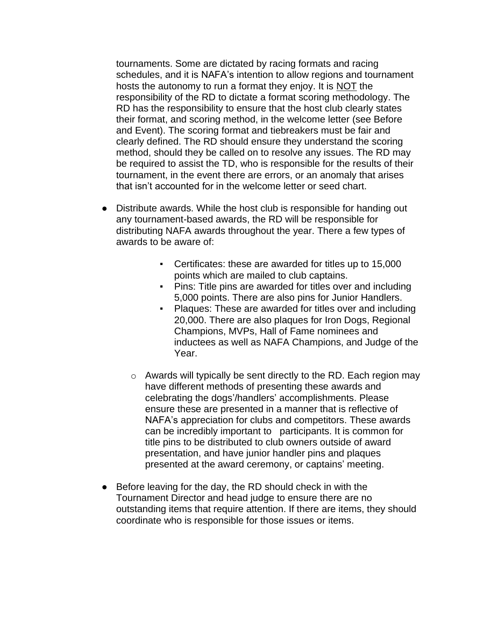tournaments. Some are dictated by racing formats and racing schedules, and it is NAFA's intention to allow regions and tournament hosts the autonomy to run a format they enjoy. It is NOT the responsibility of the RD to dictate a format scoring methodology. The RD has the responsibility to ensure that the host club clearly states their format, and scoring method, in the welcome letter (see Before and Event). The scoring format and tiebreakers must be fair and clearly defined. The RD should ensure they understand the scoring method, should they be called on to resolve any issues. The RD may be required to assist the TD, who is responsible for the results of their tournament, in the event there are errors, or an anomaly that arises that isn't accounted for in the welcome letter or seed chart.

- Distribute awards. While the host club is responsible for handing out any tournament-based awards, the RD will be responsible for distributing NAFA awards throughout the year. There a few types of awards to be aware of:
	- Certificates: these are awarded for titles up to 15,000 points which are mailed to club captains.
	- Pins: Title pins are awarded for titles over and including 5,000 points. There are also pins for Junior Handlers.
	- Plaques: These are awarded for titles over and including 20,000. There are also plaques for Iron Dogs, Regional Champions, MVPs, Hall of Fame nominees and inductees as well as NAFA Champions, and Judge of the Year.
	- o Awards will typically be sent directly to the RD. Each region may have different methods of presenting these awards and celebrating the dogs'/handlers' accomplishments. Please ensure these are presented in a manner that is reflective of NAFA's appreciation for clubs and competitors. These awards can be incredibly important to participants. It is common for title pins to be distributed to club owners outside of award presentation, and have junior handler pins and plaques presented at the award ceremony, or captains' meeting.
- Before leaving for the day, the RD should check in with the Tournament Director and head judge to ensure there are no outstanding items that require attention. If there are items, they should coordinate who is responsible for those issues or items.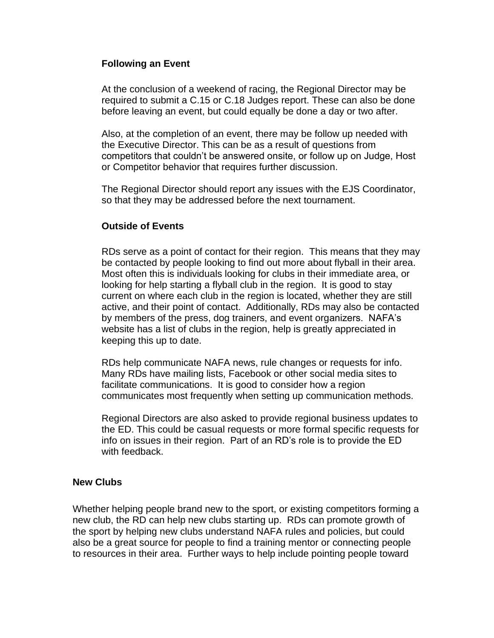#### <span id="page-8-0"></span>**Following an Event**

At the conclusion of a weekend of racing, the Regional Director may be required to submit a C.15 or C.18 Judges report. These can also be done before leaving an event, but could equally be done a day or two after.

Also, at the completion of an event, there may be follow up needed with the Executive Director. This can be as a result of questions from competitors that couldn't be answered onsite, or follow up on Judge, Host or Competitor behavior that requires further discussion.

The Regional Director should report any issues with the EJS Coordinator, so that they may be addressed before the next tournament.

#### <span id="page-8-1"></span>**Outside of Events**

RDs serve as a point of contact for their region. This means that they may be contacted by people looking to find out more about flyball in their area. Most often this is individuals looking for clubs in their immediate area, or looking for help starting a flyball club in the region. It is good to stay current on where each club in the region is located, whether they are still active, and their point of contact. Additionally, RDs may also be contacted by members of the press, dog trainers, and event organizers. NAFA's website has a list of clubs in the region, help is greatly appreciated in keeping this up to date.

RDs help communicate NAFA news, rule changes or requests for info. Many RDs have mailing lists, Facebook or other social media sites to facilitate communications. It is good to consider how a region communicates most frequently when setting up communication methods.

Regional Directors are also asked to provide regional business updates to the ED. This could be casual requests or more formal specific requests for info on issues in their region. Part of an RD's role is to provide the ED with feedback.

#### <span id="page-8-2"></span>**New Clubs**

Whether helping people brand new to the sport, or existing competitors forming a new club, the RD can help new clubs starting up. RDs can promote growth of the sport by helping new clubs understand NAFA rules and policies, but could also be a great source for people to find a training mentor or connecting people to resources in their area. Further ways to help include pointing people toward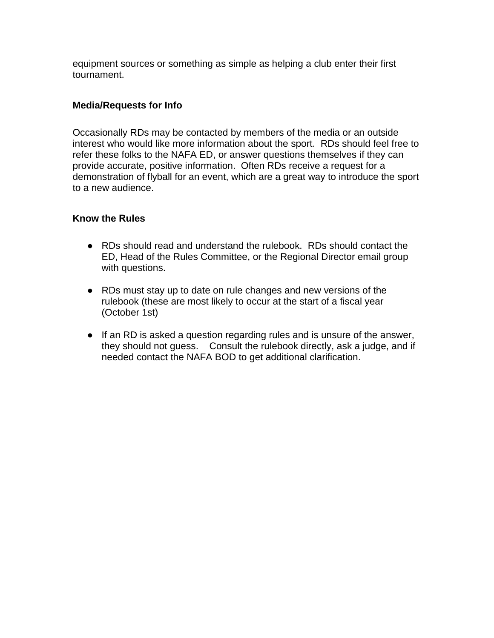equipment sources or something as simple as helping a club enter their first tournament.

### <span id="page-9-0"></span>**Media/Requests for Info**

Occasionally RDs may be contacted by members of the media or an outside interest who would like more information about the sport. RDs should feel free to refer these folks to the NAFA ED, or answer questions themselves if they can provide accurate, positive information. Often RDs receive a request for a demonstration of flyball for an event, which are a great way to introduce the sport to a new audience.

# <span id="page-9-1"></span>**Know the Rules**

- RDs should read and understand the rulebook. RDs should contact the ED, Head of the Rules Committee, or the Regional Director email group with questions.
- RDs must stay up to date on rule changes and new versions of the rulebook (these are most likely to occur at the start of a fiscal year (October 1st)
- If an RD is asked a question regarding rules and is unsure of the answer, they should not guess. Consult the rulebook directly, ask a judge, and if needed contact the NAFA BOD to get additional clarification.